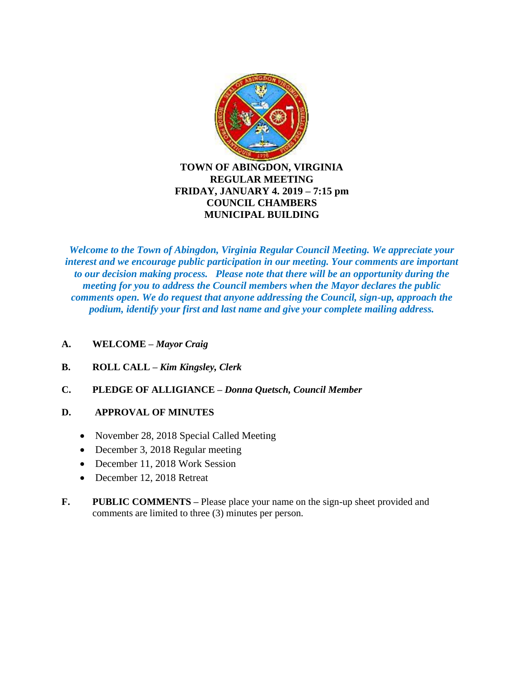

# **REGULAR MEETING FRIDAY, JANUARY 4. 2019 – 7:15 pm COUNCIL CHAMBERS MUNICIPAL BUILDING**

*Welcome to the Town of Abingdon, Virginia Regular Council Meeting. We appreciate your interest and we encourage public participation in our meeting. Your comments are important to our decision making process. Please note that there will be an opportunity during the meeting for you to address the Council members when the Mayor declares the public comments open. We do request that anyone addressing the Council, sign-up, approach the podium, identify your first and last name and give your complete mailing address.*

- **A. WELCOME –** *Mayor Craig*
- **B. ROLL CALL –** *Kim Kingsley, Clerk*
- **C. PLEDGE OF ALLIGIANCE –** *Donna Quetsch, Council Member*

# **D. APPROVAL OF MINUTES**

- November 28, 2018 Special Called Meeting
- December 3, 2018 Regular meeting
- December 11, 2018 Work Session
- December 12, 2018 Retreat
- **F.** PUBLIC COMMENTS Please place your name on the sign-up sheet provided and comments are limited to three (3) minutes per person.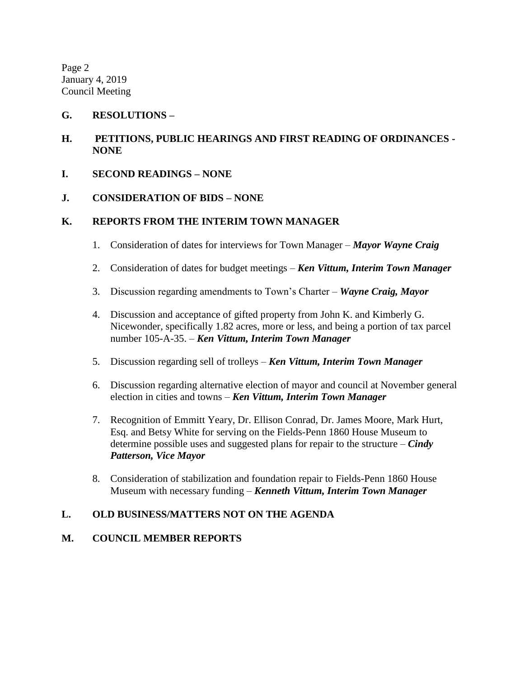Page 2 January 4, 2019 Council Meeting

### **G. RESOLUTIONS –**

- **H. PETITIONS, PUBLIC HEARINGS AND FIRST READING OF ORDINANCES - NONE**
- **I. SECOND READINGS – NONE**
- **J. CONSIDERATION OF BIDS – NONE**

### **K. REPORTS FROM THE INTERIM TOWN MANAGER**

- 1. Consideration of dates for interviews for Town Manager *Mayor Wayne Craig*
- 2. Consideration of dates for budget meetings *Ken Vittum, Interim Town Manager*
- 3. Discussion regarding amendments to Town's Charter *Wayne Craig, Mayor*
- 4. Discussion and acceptance of gifted property from John K. and Kimberly G. Nicewonder, specifically 1.82 acres, more or less, and being a portion of tax parcel number 105-A-35. – *Ken Vittum, Interim Town Manager*
- 5. Discussion regarding sell of trolleys *Ken Vittum, Interim Town Manager*
- 6. Discussion regarding alternative election of mayor and council at November general election in cities and towns – *Ken Vittum, Interim Town Manager*
- 7. Recognition of Emmitt Yeary, Dr. Ellison Conrad, Dr. James Moore, Mark Hurt, Esq. and Betsy White for serving on the Fields-Penn 1860 House Museum to determine possible uses and suggested plans for repair to the structure – *Cindy Patterson, Vice Mayor*
- 8. Consideration of stabilization and foundation repair to Fields-Penn 1860 House Museum with necessary funding – *Kenneth Vittum, Interim Town Manager*

## **L. OLD BUSINESS/MATTERS NOT ON THE AGENDA**

#### **M. COUNCIL MEMBER REPORTS**